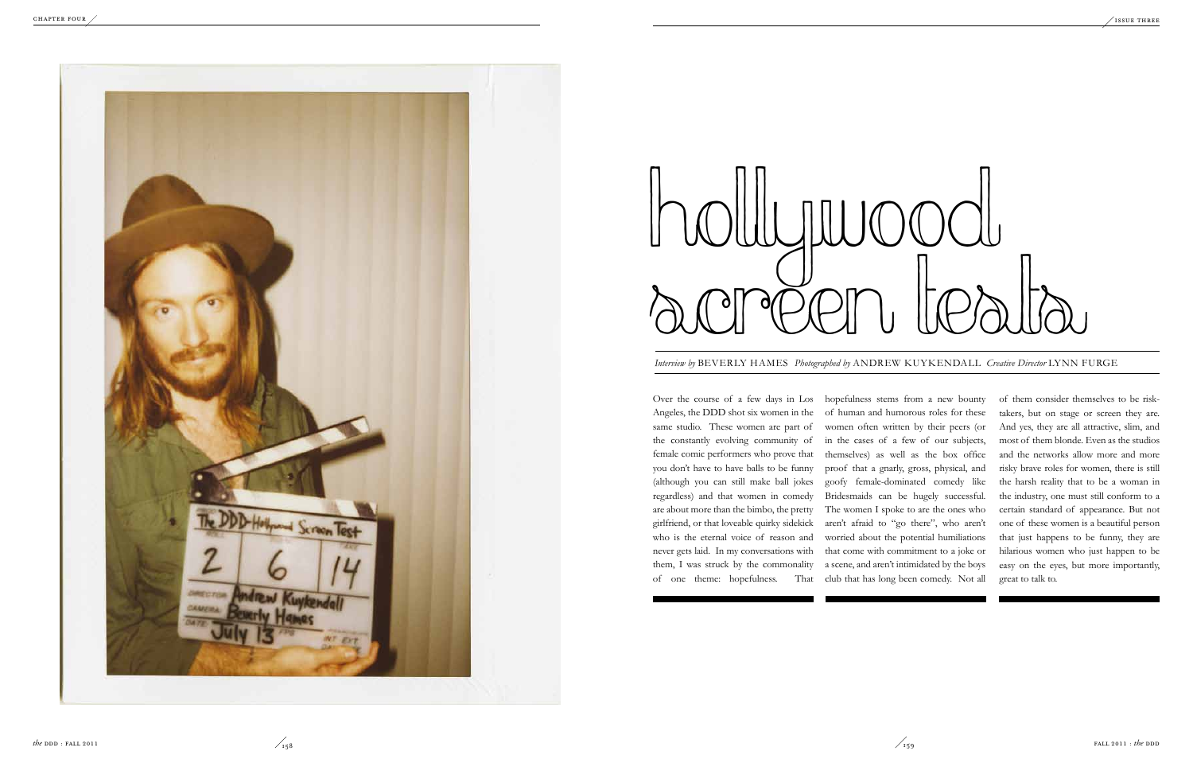Over the course of a few days in Los hopefulness stems from a new bounty Angeles, the DDD shot six women in the same studio. These women are part of the constantly evolving community of female comic performers who prove that you don't have to have balls to be funny (although you can still make ball jokes regardless) and that women in comedy are about more than the bimbo, the pretty girlfriend, or that loveable quirky sidekick who is the eternal voice of reason and never gets laid. In my conversations with them, I was struck by the commonality of one theme: hopefulness. That of human and humorous roles for these women often written by their peers (or in the cases of a few of our subjects, themselves) as well as the box office proof that a gnarly, gross, physical, and goofy female-dominated comedy like Bridesmaids can be hugely successful. The women I spoke to are the ones who aren't afraid to "go there", who aren't worried about the potential humiliations that come with commitment to a joke or a scene, and aren't intimidated by the boys club that has long been comedy. Not all



*Interview by* BEVERLY HAMES *Photographed by* ANDREW KUYKENDALL *Creative Director* LYNN FURGE



# Hollywood **SCOPER L'ANNES Photographed by ANDREW KUYKENDAL**

of them consider themselves to be risktakers, but on stage or screen they are. And yes, they are all attractive, slim, and most of them blonde. Even as the studios and the networks allow more and more risky brave roles for women, there is still the harsh reality that to be a woman in the industry, one must still conform to a certain standard of appearance. But not one of these women is a beautiful person that just happens to be funny, they are hilarious women who just happen to be easy on the eyes, but more importantly, great to talk to.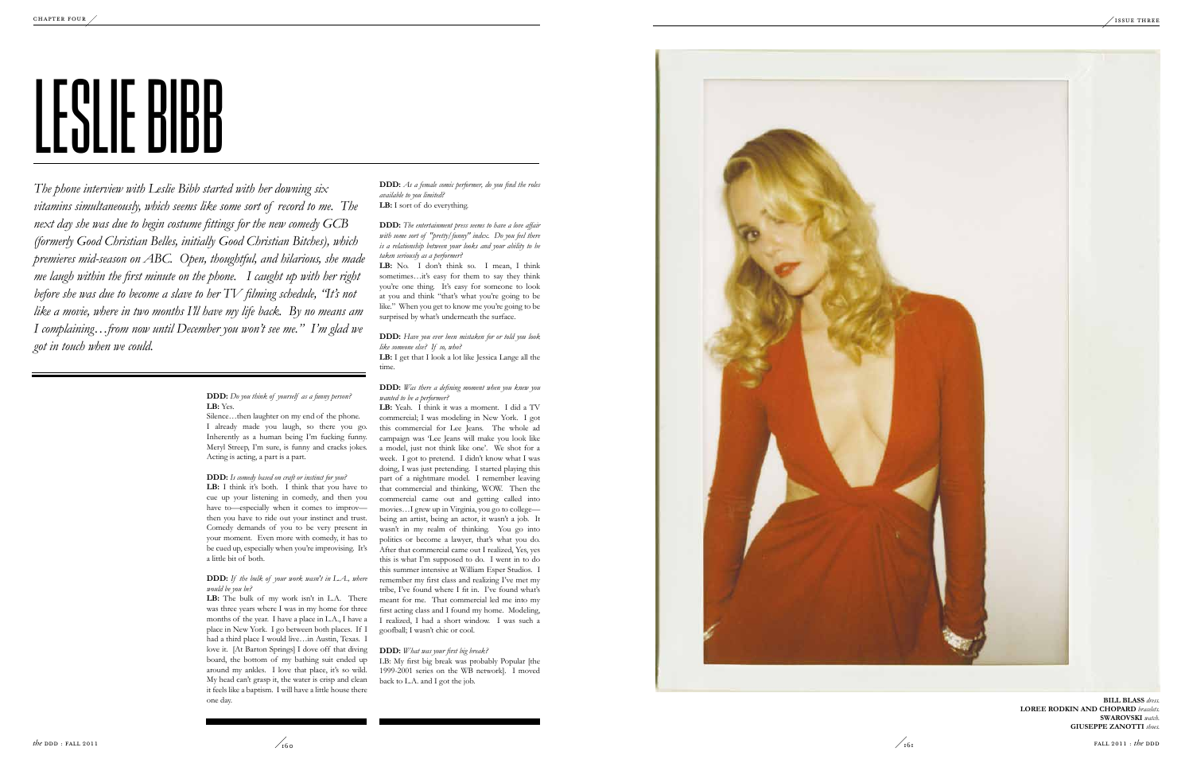**DDD:** *Do you think of yourself as a funny person?* **LB:** Yes.

Silence…then laughter on my end of the phone. I already made you laugh, so there you go. Inherently as a human being I'm fucking funny. Meryl Streep, I'm sure, is funny and cracks jokes. Acting is acting, a part is a part.

**LB:** I think it's both. I think that you have to cue up your listening in comedy, and then you have to—especially when it comes to improv then you have to ride out your instinct and trust. Comedy demands of you to be very present in your moment. Even more with comedy, it has to be cued up, especially when you're improvising. It's a little bit of both.

### **DDD:** *Is comedy based on craft or instinct for you?*

### **DDD:** *If the bulk of your work wasn't in L.A., where would be you be?*

**DDD:** *As a female comic performer, do you find the roles available to you limited?* LB: I sort of do everything.

**LB:** The bulk of my work isn't in L.A. There was three years where I was in my home for three months of the year. I have a place in L.A., I have a place in New York. I go between both places. If I had a third place I would live…in Austin, Texas. I love it. [At Barton Springs] I dove off that diving board, the bottom of my bathing suit ended up around my ankles. I love that place, it's so wild. My head can't grasp it, the water is crisp and clean it feels like a baptism. I will have a little house there one day.

LB: No. I don't think so. I mean, I think sometimes...it's easy for them to say they think you're one thing. It's easy for someone to look at you and think "that's what you're going to be like." When you get to know me you're going to be surprised by what's underneath the surface.

*The phone interview with Leslie Bibb started with her downing six vitamins simultaneously, which seems like some sort of record to me. The next day she was due to begin costume fittings for the new comedy GCB (formerly Good Christian Belles, initially Good Christian Bitches), which premieres mid-season on ABC. Open, thoughtful, and hilarious, she made me laugh within the first minute on the phone. I caught up with her right before she was due to become a slave to her TV filming schedule, "It's not like a movie, where in two months I'll have my life back. By no means am I complaining…from now until December you won't see me." I'm glad we got in touch when we could.*

> **Bill B lass** *dress.* LOREE RODKIN AND CHOPARD bracelets. **Swarovski** *watch.* **GIUSEPPE ZANOTTI** shoes.



**DDD:** *The entertainment press seems to have a love affair with some sort of "pretty/funny" index. Do you feel there is a relationship between your looks and your ability to be taken seriously as a performer?*

### **DDD:** *Have you ever been mistaken for or told you look like someone else? If so, who?* **LB:** I get that I look a lot like Jessica Lange all the

time.

**DDD:** *Was there a defining moment when you knew you wanted to be a performer?*

**LB:** Yeah. I think it was a moment. I did a TV commercial; I was modeling in New York. I got this commercial for Lee Jeans. The whole ad campaign was 'Lee Jeans will make you look like a model, just not think like one'. We shot for a week. I got to pretend. I didn't know what I was doing, I was just pretending. I started playing this part of a nightmare model. I remember leaving that commercial and thinking, WOW. Then the commercial came out and getting called into movies…I grew up in Virginia, you go to college being an artist, being an actor, it wasn't a job. It wasn't in my realm of thinking. You go into politics or become a lawyer, that's what you do. After that commercial came out I realized, Yes, yes this is what I'm supposed to do. I went in to do this summer intensive at William Esper Studios. I remember my first class and realizing I've met my tribe, I've found where I fit in. I've found what's meant for me. That commercial led me into my first acting class and I found my home. Modeling, I realized, I had a short window. I was such a goofball; I wasn't chic or cool.

### **DDD:** *What was your first big break?*

LB: My first big break was probably Popular [the 1999-2001 series on the WB network]. I moved back to L.A. and I got the job.





## LESLIE BIBB  $\overline{\mathcal{L}}$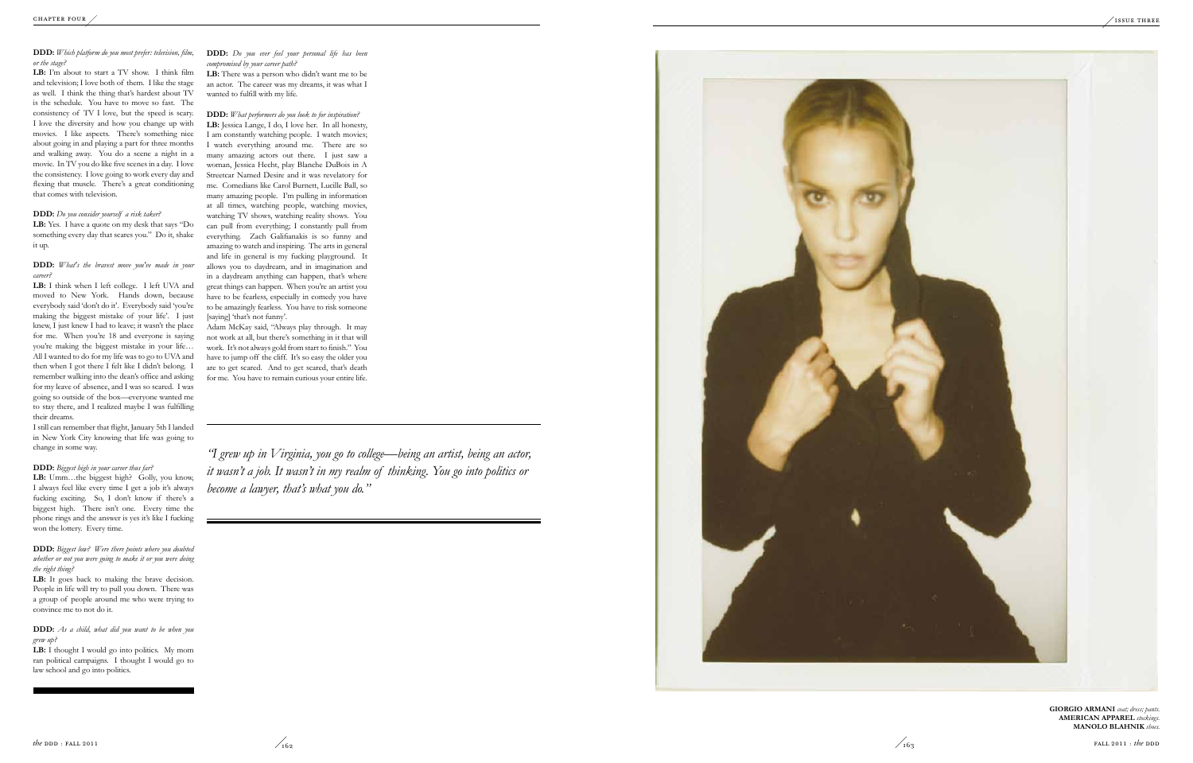### **DDD:** *Which platform do you most prefer: television, film, or the stage?*

**LB:** I'm about to start a TV show. I think film and television; I love both of them. I like the stage as well. I think the thing that's hardest about TV is the schedule. You have to move so fast. The consistency of TV I love, but the speed is scary. I love the diversity and how you change up with movies. I like aspects. There's something nice about going in and playing a part for three months and walking away. You do a scene a night in a movie. In TV you do like five scenes in a day. I love the consistency. I love going to work every day and flexing that muscle. There's a great conditioning that comes with television.

### **DDD:** *Do you consider yourself a risk taker?*

LB: I think when I left college. I left UVA and moved to New York. Hands down, because everybody said 'don't do it'. Everybody said 'you're making the biggest mistake of your life'. I just knew, I just knew I had to leave; it wasn't the place for me. When you're 18 and everyone is saying you're making the biggest mistake in your life… All I wanted to do for my life was to go to UVA and then when I got there I felt like I didn't belong. I remember walking into the dean's office and asking for my leave of absence, and I was so scared. I was going so outside of the box—everyone wanted me to stay there, and I realized maybe I was fulfilling their dreams.

**LB:** Yes. I have a quote on my desk that says " Do something every day that scares you." Do it, shake it up.

### **DDD:** *What's the bravest move you've made in your career?*

LB: Umm...the biggest high? Golly, you know, I always feel like every time I get a job it's always fucking exciting. So, I don't know if there's a biggest high. There isn't one. Every time the phone rings and the answer is yes it's like I fucking won the lottery. Every time.

LB: It goes back to making the brave decision. People in life will try to pull you down. There was a group of people around me who were trying to convince me to not do it.

LB: I thought I would go into politics. My mom ran political campaigns. I thought I would go to law school and go into politics.

I still can remember that flight, January 5th I landed in New York City knowing that life was going to change in some way.

### **DDD:** *Biggest high in your career thus far?*

**DDD:** *Biggest low? Were there points where you doubted whether or not you were going to make it or you were doing the right thing?*

> GIORGIO ARMANI coat; dress; pants. **Ameri can Appare l** *stockings.* **Mano lo B lahnik** *shoes.*



**DDD:** *As a child, what did you want to be when you grew up?*

**DDD:** *Do you ever feel your personal life has been compromised by your career path?*

**LB:** There was a person who didn't want me to be an actor. The career was my dreams, it was what I wanted to fulfill with my life.

**DDD:** *What performers do you look to for inspiration?* LB: Jessica Lange, I do, I love her. In all honesty, I am constantly watching people. I watch movies; I watch everything around me. There are so many amazing actors out there. I just saw a woman, Jessica Hecht, play Blanche DuBois in A Streetcar Named Desire and it was revelatory for me. Comedians like Carol Burnett, Lucille Ball, so many amazing people. I'm pulling in information at all times, watching people, watching movies, watching TV shows, watching reality shows. You can pull from everything; I constantly pull from everything. Zach Galifianakis is so funny and amazing to watch and inspiring. The arts in general and life in general is my fucking playground. It allows you to daydream, and in imagination and in a daydream anything can happen, that's where great things can happen. When you're an artist you have to be fearless, especially in comedy you have to be amazingly fearless. You have to risk someone [saying] 'that's not funny'.

Adam McKay said, "Always play through. It may not work at all, but there's something in it that will work. It's not always gold from start to finish." You have to jump off the cliff. It's so easy the older you are to get scared. And to get scared, that's death for me. You have to remain curious your entire life.

*"I grew up in Virginia, you go to college—being an artist, being an actor, it wasn't a job. It wasn't in my realm of thinking. You go into politics or become a lawyer, that's what you do."*

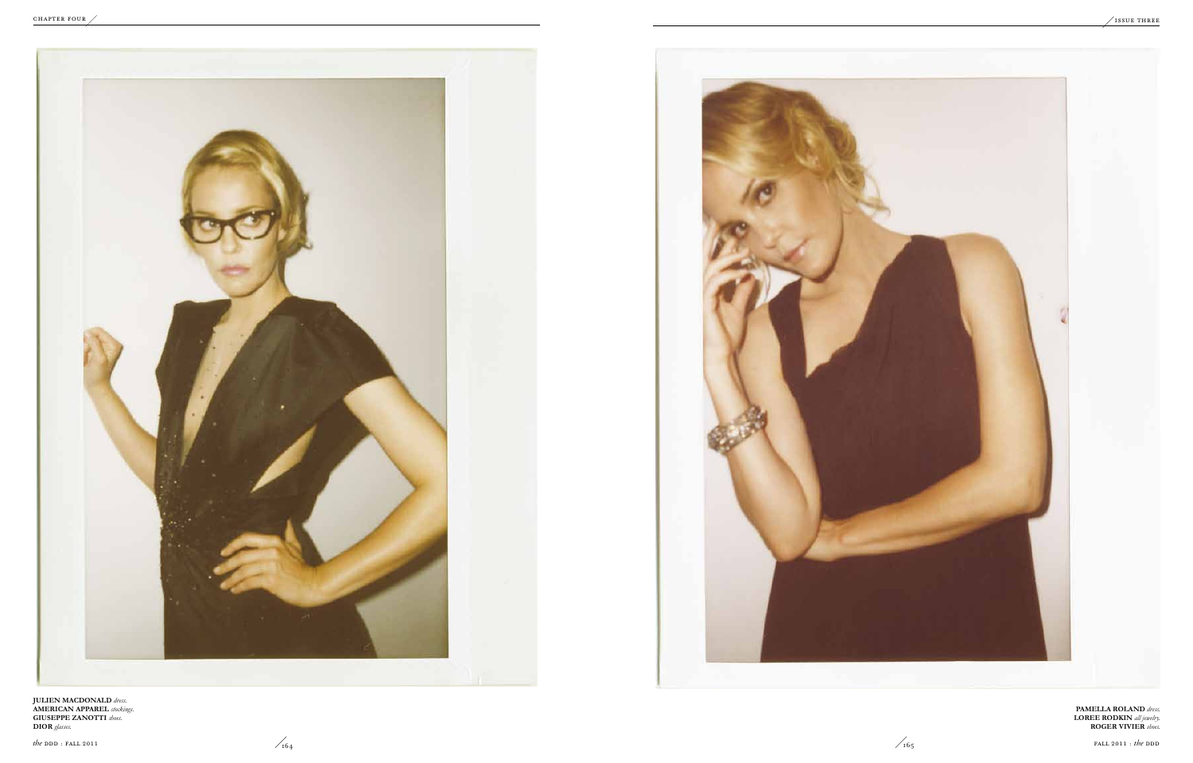**Pamella Roland** *dress.* **Loree Rodkin** *all jewelry.* **Roger Vivier** *shoes.* 

![](_page_3_Picture_1.jpeg)

**Julien MacDonald** *dress.* **American Apparel** *stockings.* **Giuseppe Zanotti** *shoes.*  **Dior** *glasses.*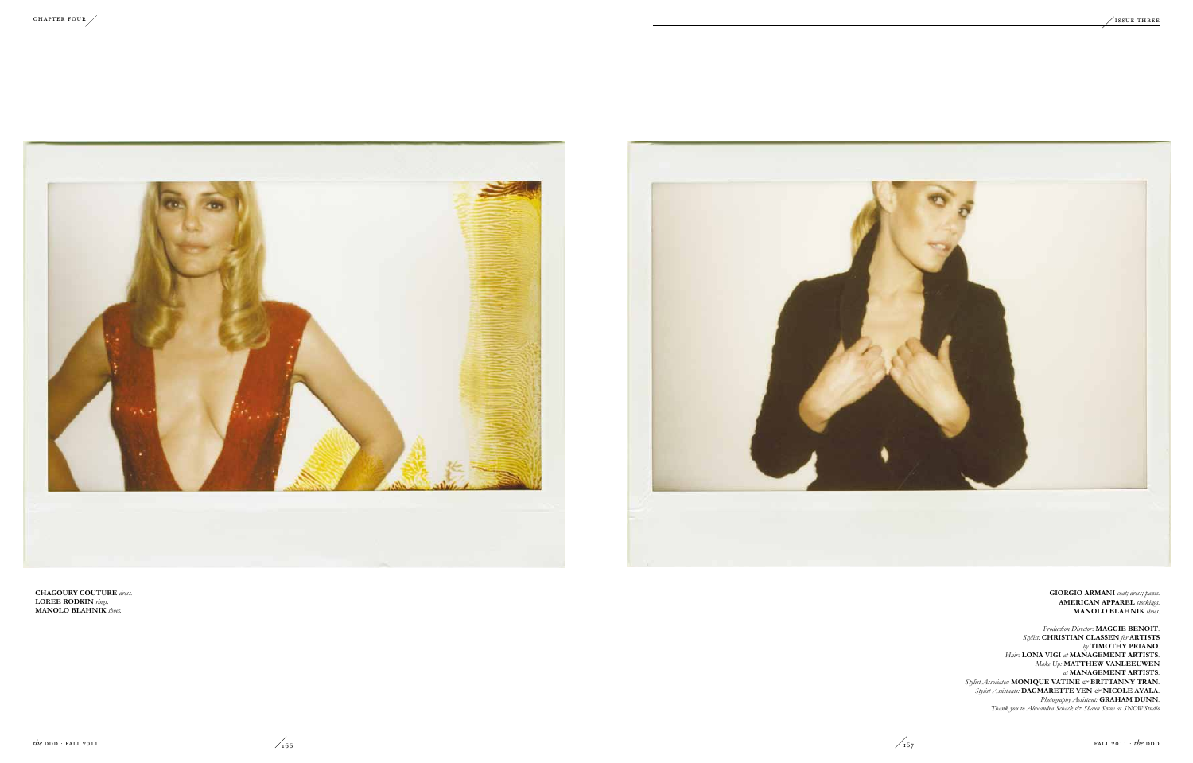**Giorgio Armani** *coat; dress; pants.* **American Apparel** *stockings.* **Manolo Blahnik** *shoes.* 

*Production Director:* **Maggie Benoit***. Stylist:* **Christian Classen** *for* **Artists**  *by* **Timothy Priano***. Hair:* **Lona Vigi** *at* **Management Artists***. Make Up:* **Matthew VanLeeuwen**  *at* **Management Artists***. Stylist Associates:* **MONIQUE VATINE** *&* **BRITTANNY TRAN***. Stylist Assistants:* **DAGMARETTE YEN** *&* **NICOLE AYALA***. Photography Assistant:* **Graham Dunn***. Thank you to Alexandra Schack & Shaun Snow at SNOWStudio* 

![](_page_4_Picture_10.jpeg)

![](_page_4_Picture_1.jpeg)

![](_page_4_Picture_2.jpeg)

**Chagoury Couture** *dress.* **Loree Rodkin** *rings.* **Manolo Blahnik** *shoes.*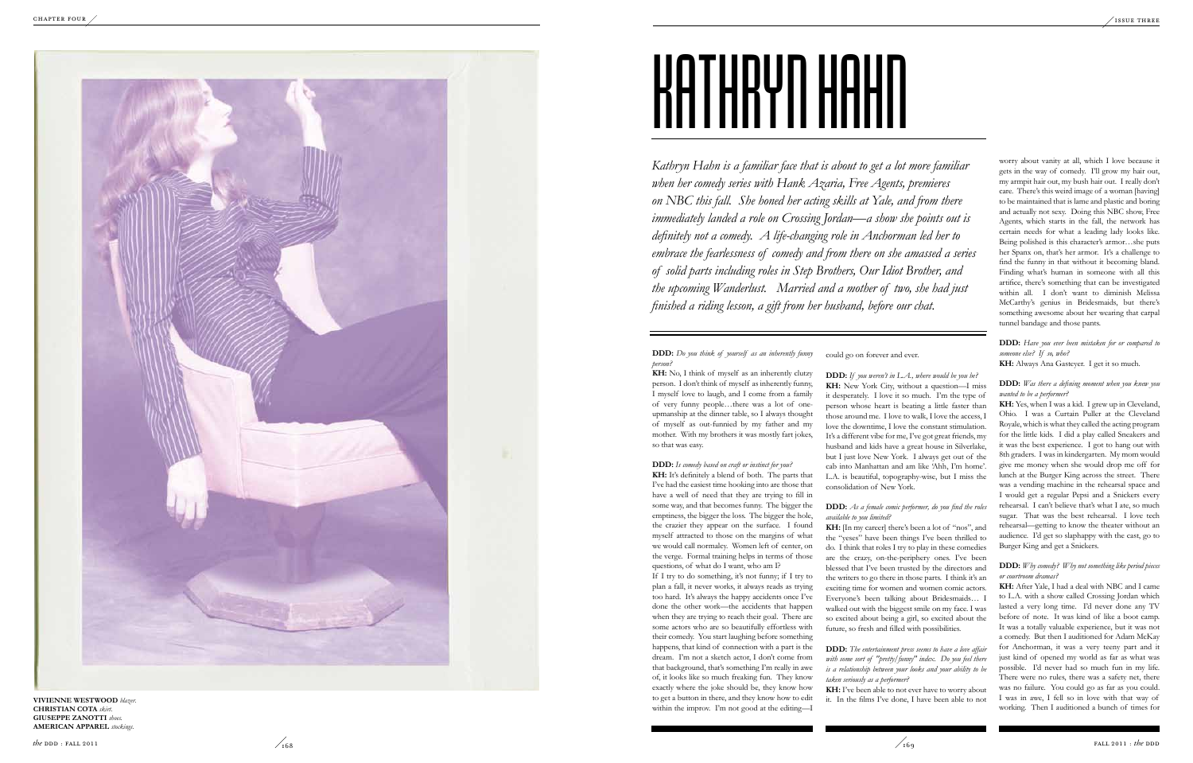**DDD:** *Do you think of yourself as an inherently funny person?*

**KH :** No, I think of myself as an inherently clutzy person. I don't think of myself as inherently funny, I myself love to laugh, and I come from a family of very funny people…there was a lot of oneupmanship at the dinner table, so I always thought of myself as out-funnied by my father and my mother. With my brothers it was mostly fart jokes, so that was easy.

**DDD:** *Is comedy based on craft or instinct for you?* **KH :** It's definitely a blend of both. The parts that I've had the easiest time hooking into are those that have a well of need that they are trying to fill in some way, and that becomes funny. The bigger the emptiness, the bigger the loss. The bigger the hole, the crazier they appear on the surface. I found myself attracted to those on the margins of what we would call normalcy. Women left of center, on the verge. Formal training helps in terms of those questions, of what do I want, who am I?

If I try to do something, it's not funny; if I try to plan a fall, it never works, it always reads as trying too hard. It's always the happy accidents once I've done the other work—the accidents that happen when they are trying to reach their goal. There are some actors who are so beautifully effortless with their comedy. You start laughing before something happens, that kind of connection with a part is the dream. I'm not a sketch actor, I don't come from that background, that's something I'm really in awe of, it looks like so much freaking fun. They know exactly where the joke should be, they know how to get a button in there, and they know how to edit within the improv. I'm not good at the editing—I

**KH:** I've been able to not ever have to worry about it. In the films I've done, I have been able to not

*Kathryn Hahn is a familiar face that is about to get a lot more familiar when her comedy series with Hank Azaria, Free Agents, premieres on NBC this fall. She honed her acting skills at Yale, and from there immediately landed a role on Crossing Jordan—a show she points out is definitely not a comedy. A life-changing role in Anchorman led her to embrace the fearlessness of comedy and from there on she amassed a series of solid parts including roles in Step Brothers, Our Idiot Brother, and the upcoming Wanderlust. Married and a mother of two, she had just finished a riding lesson, a gift from her husband, before our chat.*

could go on forever and ever.

**DDD:** *If you weren't in L.A., where would be you be?* **KH :** New York City, without a question—I miss it desperately. I love it so much. I'm the type of person whose heart is beating a little faster than those around me. I love to walk, I love the access, I love the downtime, I love the constant stimulation. It's a different vibe for me, I've got great friends, my husband and kids have a great house in Silverlake, but I just love New York. I always get out of the cab into Manhattan and am like 'Ahh, I'm home'. L.A. is beautiful, topography-wise, but I miss the consolidation of New York.

### **DDD:** *As a female comic performer, do you find the roles available to you limited?*

**KH :** [In my career] there's been a lot of "nos", and the "yeses" have been things I've been thrilled to do. I think that roles I try to play in these comedies are the crazy, on-the-periphery ones. I've been blessed that I've been trusted by the directors and the writers to go there in those parts. I think it's an exciting time for women and women comic actors. Everyone's been talking about Bridesmaids… I walked out with the biggest smile on my face. I was so excited about being a girl, so excited about the future, so fresh and filled with possibilities.

**DDD:** *The entertainment press seems to have a love affair with some sort of "pretty/funny" index. Do you feel there is a relationship between your looks and your ability to be taken seriously as a performer?*

**Vivienne Westwoo Christian Cota** *skirt.* **GIUSEPPE ZANOTTI** *shoes.* **American Apparel** *stockings.* 

![](_page_5_Picture_4.jpeg)

# **HATHRYN HAHN**

worry about vanity at all, which I love because it gets in the way of comedy. I'll grow my hair out, my armpit hair out, my bush hair out. I really don't care. There's this weird image of a woman [having] to be maintained that is lame and plastic and boring and actually not sexy. Doing this NBC show, Free Agents, which starts in the fall, the network has certain needs for what a leading lady looks like. Being polished is this character's armor…she puts her Spanx on, that's her armor. It's a challenge to find the funny in that without it becoming bland. Finding what's human in someone with all this artifice, there's something that can be investigated within all. I don't want to diminish Melissa McCarthy's genius in Bridesmaids, but there's something awesome about her wearing that carpal tunnel bandage and those pants.

**DDD:** *Have you ever been mistaken for or compared to someone else? If so, who?*

**KH :** Always Ana Gasteyer. I get it so much.

### **DDD:** *Was there a defining moment when you knew you wanted to be a performer?*

**KH :** Yes, when I was a kid. I grew up in Cleveland, Ohio. I was a Curtain Puller at the Cleveland Royale, which is what they called the acting program for the little kids. I did a play called Sneakers and it was the best experience. I got to hang out with 8th graders. I was in kindergarten. My mom would give me money when she would drop me off for lunch at the Burger King across the street. There was a vending machine in the rehearsal space and I would get a regular Pepsi and a Snickers every rehearsal. I can't believe that's what I ate, so much sugar. That was the best rehearsal. I love tech rehearsal—getting to know the theater without an audience. I'd get so slaphappy with the cast, go to Burger King and get a Snickers.

### **DDD:** *Why comedy? Why not something like period pieces or courtroom dramas?*

**KH :** After Yale, I had a deal with NBC and I came to L.A. with a show called Crossing Jordan which lasted a very long time. I'd never done any TV before of note. It was kind of like a boot camp. It was a totally valuable experience, but it was not a comedy. But then I auditioned for Adam McKay for Anchorman, it was a very teeny part and it just kind of opened my world as far as what was possible. I'd never had so much fun in my life. There were no rules, there was a safety net, there was no failure. You could go as far as you could. I was in awe, I fell so in love with that way of working. Then I auditioned a bunch of times for

![](_page_5_Picture_1.jpeg)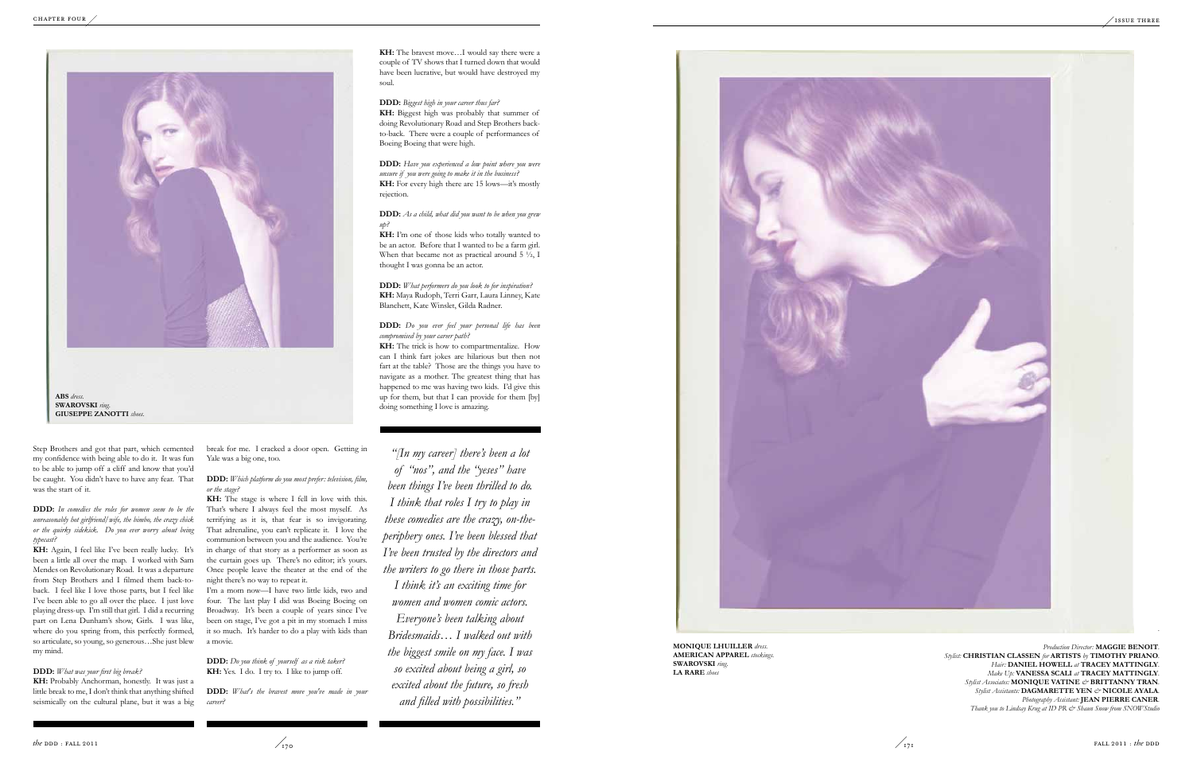Step Brothers and got that part, which cemented my confidence with being able to do it. It was fun to be able to jump off a cliff and know that you'd be caught. You didn't have to have any fear. That was the start of it.

**DDD:** *In comedies the roles for women seem to be the unreasonably hot girlfriend/wife, the bimbo, the crazy chick or the quirky sidekick. Do you ever worry about being typecast?*

**KH:** Again, I feel like I've been really lucky. It's been a little all over the map. I worked with Sam Mendes on Revolutionary Road. It was a departure from Step Brothers and I filmed them back-toback. I feel like I love those parts, but I feel like I've been able to go all over the place. I just love playing dress-up. I'm still that girl. I did a recurring part on Lena Dunham's show, Girls. I was like, where do you spring from, this perfectly formed, so articulate, so young, so generous…She just blew my mind.

### **DDD:** *What was your first big break?*

**KH:** Probably Anchorman, honestly. It was just a little break to me, I don't think that anything shifted seismically on the cultural plane, but it was a big

break for me. I cracked a door open. Getting in Yale was a big one, too.

**DDD:** *Which platform do you most prefer: television, film, or the stage?*

**KH:** The stage is where I fell in love with this. That's where I always feel the most myself. As terrifying as it is, that fear is so invigorating. That adrenaline, you can't replicate it. I love the communion between you and the audience. You're in charge of that story as a performer as soon as the curtain goes up. There's no editor; it's yours. Once people leave the theater at the end of the night there's no way to repeat it.

I'm a mom now—I have two little kids, two and four. The last play I did was Boeing Boeing on Broadway. It's been a couple of years since I've been on stage, I've got a pit in my stomach I miss it so much. It's harder to do a play with kids than a movie.

**DDD:** *Do you think of yourself as a risk taker?* **KH:** Yes. I do. I try to. I like to jump off.

**DDD:** *What's the bravest move you've made in your career?*

**KH:** The bravest move…I would say there were a couple of TV shows that I turned down that would have been lucrative, but would have destroyed my soul.

> *Production Director:* **MAGGIE BENOIT**. *Stylist:* **Christian Classen** *for* **Artists** *by* **Timothy Priano***. Hair:* **Daniel Howell** *at* **Tracey Mattingly***. Make Up:* **Vanessa Scali** *at* **Tracey Mattingly***. Stylist Associates:* **MONIQUE VATINE** *&* **BRITTANNY TRAN***. Stylist Assistants:* **DAGMARETTE YEN** *&* **NICOLE AYALA***.* Photography Assistant: **JEAN PIERRE CANER**. *Thank you to Lindsay Krug at ID PR & Shaun Snow from SNOWStudio*

**DDD:** *Biggest high in your career thus far?* **KH:** Biggest high was probably that summer of doing Revolutionary Road and Step Brothers backto-back. There were a couple of performances of Boeing Boeing that were high.

**DDD:** *Have you experienced a low point where you were unsure if you were going to make it in the business?* **KH:** For every high there are 15 lows—it's mostly rejection.

**DDD:** *As a child, what did you want to be when you grew up?*

**KH:** I'm one of those kids who totally wanted to be an actor. Before that I wanted to be a farm girl. When that became not as practical around 5  $\frac{1}{2}$ , I thought I was gonna be an actor.

**DDD:** *What performers do you look to for inspiration?* **KH:** Maya Rudoph, Terri Garr, Laura Linney, Kate Blanchett, Kate Winslet, Gilda Radner.

**DDD:** *Do you ever feel your personal life has been compromised by your career path?*

**KH:** The trick is how to compartmentalize. How can I think fart jokes are hilarious but then not fart at the table? Those are the things you have to navigate as a mother. The greatest thing that has happened to me was having two kids. I'd give this up for them, but that I can provide for them [by] doing something I love is amazing.

*"[In my career] there's been a lot of "nos", and the "yeses" have been things I've been thrilled to do. I think that roles I try to play in these comedies are the crazy, on-theperiphery ones. I've been blessed that I've been trusted by the directors and the writers to go there in those parts.* 

*I think it's an exciting time for women and women comic actors. Everyone's been talking about Bridesmaids… I walked out with the biggest smile on my face. I was so excited about being a girl, so excited about the future, so fresh and filled with possibilities."*

![](_page_6_Picture_23.jpeg)

![](_page_6_Picture_1.jpeg)

*.* 

**Monique Lhuiller** *dress.* **American Apparel** *stockings.* **Swarovski** *ring.* **La Rare** *shoes*

![](_page_6_Picture_26.jpeg)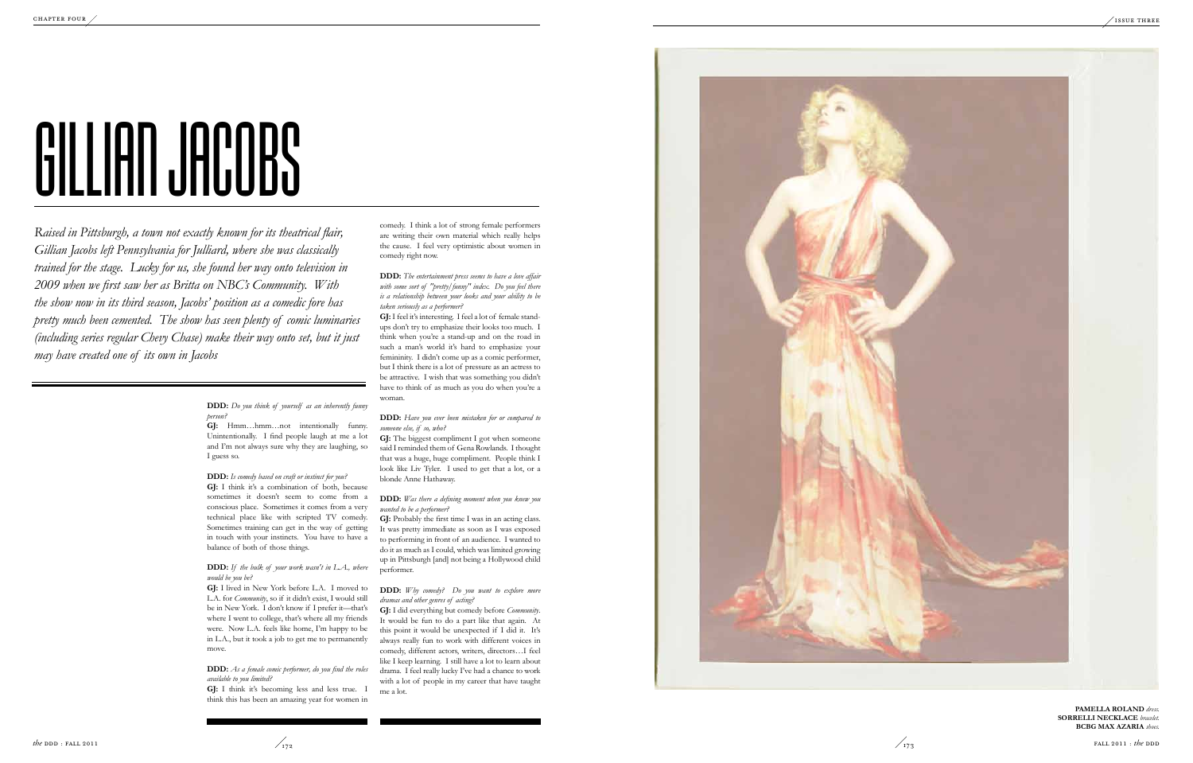![](_page_7_Picture_20.jpeg)

**DDD:** *Do you think of yourself as an inherently funny person?*

**GJ:** Hmm…hmm…not intentionally funny. Unintentionally. I find people laugh at me a lot and I'm not always sure why they are laughing, so I guess so.

### **DDD:** *Is comedy based on craft or instinct for you?*

**GJ:** I think it's a combination of both, because sometimes it doesn't seem to come from a conscious place. Sometimes it comes from a very technical place like with scripted TV comedy. Sometimes training can get in the way of getting in touch with your instincts. You have to have a balance of both of those things.

### **DDD:** *If the bulk of your work wasn't in L.A., where would be you be?*

**GJ:** I lived in New York before L.A. I moved to L.A. for *Community*, so if it didn't exist, I would still be in New York. I don't know if I prefer it—that's where I went to college, that's where all my friends were. Now L.A. feels like home, I'm happy to be in L.A., but it took a job to get me to permanently move.

**DDD:** *As a female comic performer, do you find the roles available to you limited?*

**GJ:** I think it's becoming less and less true. I think this has been an amazing year for women in

*Raised in Pittsburgh, a town not exactly known for its theatrical flair, Gillian Jacobs left Pennsylvania for Julliard, where she was classically trained for the stage. Lucky for us, she found her way onto television in 2009 when we first saw her as Britta on NBC's Community. With the show now in its third season, Jacobs' position as a comedic fore has pretty much been cemented. The show has seen plenty of comic luminaries (including series regular Chevy Chase) make their way onto set, but it just may have created one of its own in Jacobs*

comedy. I think a lot of strong female performers are writing their own material which really helps the cause. I feel very optimistic about women in comedy right now.

> PAMELLA ROLAND dress. **Sorrelli N e kla e** *bracelet.* **c c BCBG Max Azaria** *shoes.*

**DDD:** *The entertainment press seems to have a love affair with some sort of "pretty/funny" index. Do you feel there is a relationship between your looks and your ability to be taken seriously as a performer?*

**GJ:** I feel it's interesting. I feel a lot of female standups don't try to emphasize their looks too much. I think when you're a stand-up and on the road in such a man's world it's hard to emphasize your femininity. I didn't come up as a comic performer, but I think there is a lot of pressure as an actress to be attractive. I wish that was something you didn't have to think of as much as you do when you're a woman.

### **DDD:** *Have you ever been mistaken for or compared to someone else, if so, who?*

**GJ:** The biggest compliment I got when someone said I reminded them of Gena Rowlands. I thought that was a huge, huge compliment. People think I look like Liv Tyler. I used to get that a lot, or a blonde Anne Hathaway.

### **DDD:** *Was there a defining moment when you knew you wanted to be a performer?*

**GJ:** Probably the first time I was in an acting class. It was pretty immediate as soon as I was exposed to performing in front of an audience. I wanted to do it as much as I could, which was limited growing up in Pittsburgh [and] not being a Hollywood child performer.

### **DDD:** *Why comedy? Do you want to explore more dramas and other genres of acting?*

**GJ:** I did everything but comedy before *Community*. It would be fun to do a part like that again. At this point it would be unexpected if I did it. It's always really fun to work with different voices in comedy, different actors, writers, directors…I feel like I keep learning. I still have a lot to learn about drama. I feel really lucky I've had a chance to work with a lot of people in my career that have taught me a lot.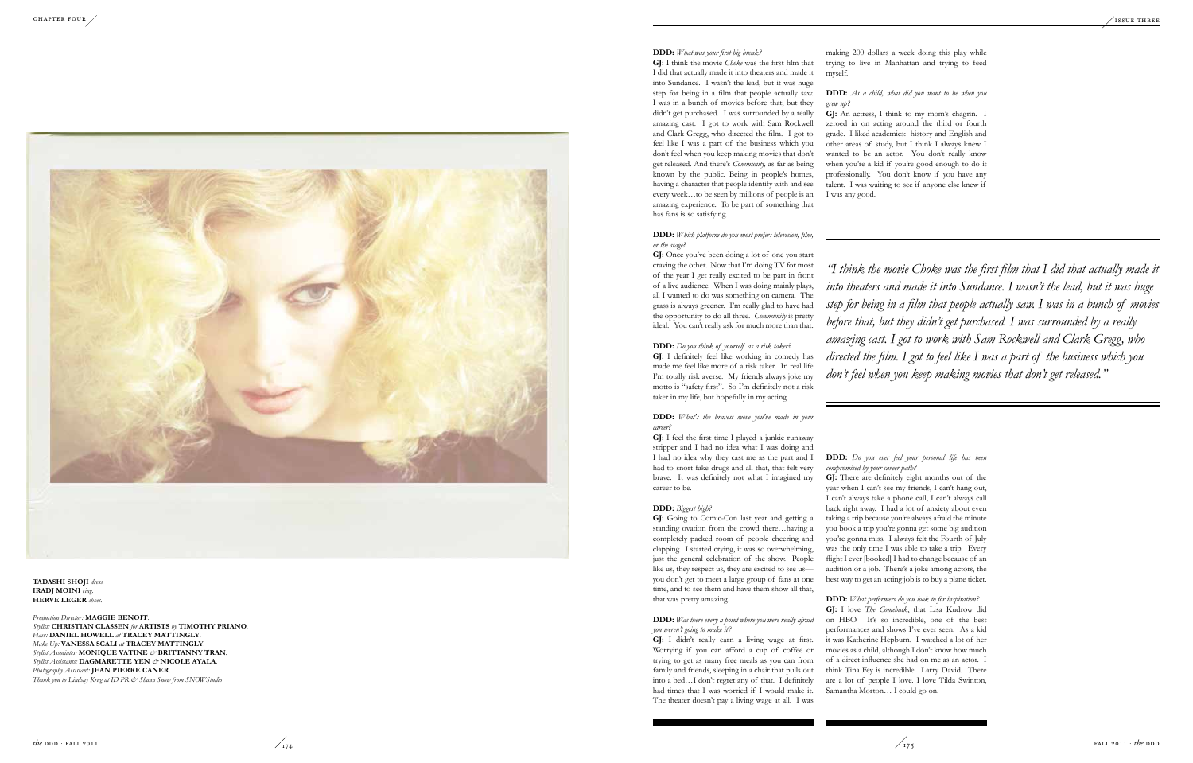### **DDD:** *What was your first big break?*

**GJ:** I think the movie *Choke* was the first film that I did that actually made it into theaters and made it into Sundance. I wasn't the lead, but it was huge step for being in a film that people actually saw. I was in a bunch of movies before that, but they didn't get purchased. I was surrounded by a really amazing cast. I got to work with Sam Rockwell and Clark Gregg, who directed the film. I got to feel like I was a part of the business which you don't feel when you keep making movies that don't get released. And there's *Community,* as far as being known by the public. Being in people's homes, having a character that people identify with and see every week…to be seen by millions of people is an amazing experience. To be part of something that has fans is so satisfying.

### **DDD:** *Which platform do you most prefer: television, film, or the stage?*

**GJ:** Once you've been doing a lot of one you start craving the other. Now that I'm doing TV for most of the year I get really excited to be part in front of a live audience. When I was doing mainly plays, all I wanted to do was something on camera. The grass is always greener. I'm really glad to have had the opportunity to do all three. *Community* is pretty ideal. You can't really ask for much more than that.

### **DDD:** *Do you think of yourself as a risk taker?*

**GJ:** I definitely feel like working in comedy has made me feel like more of a risk taker. In real life I'm totally risk averse. My friends always joke my motto is "safety first". So I'm definitely not a risk taker in my life, but hopefully in my acting.

### **DDD:** *What's the bravest move you've made in your career?*

**GJ:** I feel the first time I played a junkie runaway stripper and I had no idea what I was doing and I had no idea why they cast me as the part and I had to snort fake drugs and all that, that felt very brave. It was definitely not what I imagined my career to be.

### **DDD:** *Biggest high?*

**GJ:** Going to Comic-Con last year and getting a standing ovation from the crowd there…having a completely packed room of people cheering and clapping. I started crying, it was so overwhelming, just the general celebration of the show. People like us, they respect us, they are excited to see us you don't get to meet a large group of fans at one time, and to see them and have them show all that, that was pretty amazing.

### **DDD:** *Was there every a point where you were really afraid you weren't going to make it?*

**GJ:** I didn't really earn a living wage at first. Worrying if you can afford a cup of coffee or trying to get as many free meals as you can from family and friends, sleeping in a chair that pulls out into a bed…I don't regret any of that. I definitely had times that I was worried if I would make it. The theater doesn't pay a living wage at all. I was

Production Director: MAGGIE BENOIT. Stylist: CHRISTIAN CLASSEN for ARTISTS by TIMOTHY PRIANO. Hair: DANIEL HOWELL at TRACEY MATTINGLY. **l** *Make Up:* **VANESSA SCALI** at **TRACEY MATTINGLY**. *Stylist Associates:* **MONI QUE VATINE** *&* **BRITTANNY TRAN** *.* Stylist Assistants: DAGMARETTE YEN & NICOLE AYALA. Photography Assistant: **JEAN PIERRE CANER**. *Thank you to Lindsay Krug at ID PR & Shaun Snow from SNOWStudio* 

making 200 dollars a week doing this play while trying to live in Manhattan and trying to feed myself.

### **DDD:** *As a child, what did you want to be when you grew up?*

**GJ:** An actress, I think to my mom's chagrin. I zeroed in on acting around the third or fourth grade. I liked academics: history and English and other areas of study, but I think I always knew I wanted to be an actor. You don't really know when you're a kid if you're good enough to do it professionally. You don't know if you have any talent. I was waiting to see if anyone else knew if I was any good.

### **DDD:** *Do you ever feel your personal life has been compromised by your career path?*

**GJ:** There are definitely eight months out of the year when I can't see my friends, I can't hang out, I can't always take a phone call, I can't always call back right away. I had a lot of anxiety about even taking a trip because you're always afraid the minute you book a trip you're gonna get some big audition you're gonna miss. I always felt the Fourth of July was the only time I was able to take a trip. Every flight I ever [booked] I had to change because of an audition or a job. There's a joke among actors, the best way to get an acting job is to buy a plane ticket.

### **DDD:** *What performers do you look to for inspiration?*

**GJ:** I love *The Comeback*, that Lisa Kudrow did on HBO. It's so incredible, one of the best performances and shows I've ever seen. As a kid it was Katherine Hepburn. I watched a lot of her movies as a child, although I don't know how much of a direct influence she had on me as an actor. I think Tina Fey is incredible. Larry David. There are a lot of people I love. I love Tilda Swinton, Samantha Morton… I could go on.

*"I think the movie Choke was the first film that I did that actually made it into theaters and made it into Sundance. I wasn't the lead, but it was huge step for being in a film that people actually saw. I was in a bunch of movies before that, but they didn't get purchased. I was surrounded by a really amazing cast. I got to work with Sam Rockwell and Clark Gregg, who directed the film. I got to feel like I was a part of the business which you don't feel when you keep making movies that don't get released."*

![](_page_8_Picture_1.jpeg)

**TADASHI SHOJI** dress. **Iradj Moini** *ring.* **HERVE LEGER** shoes.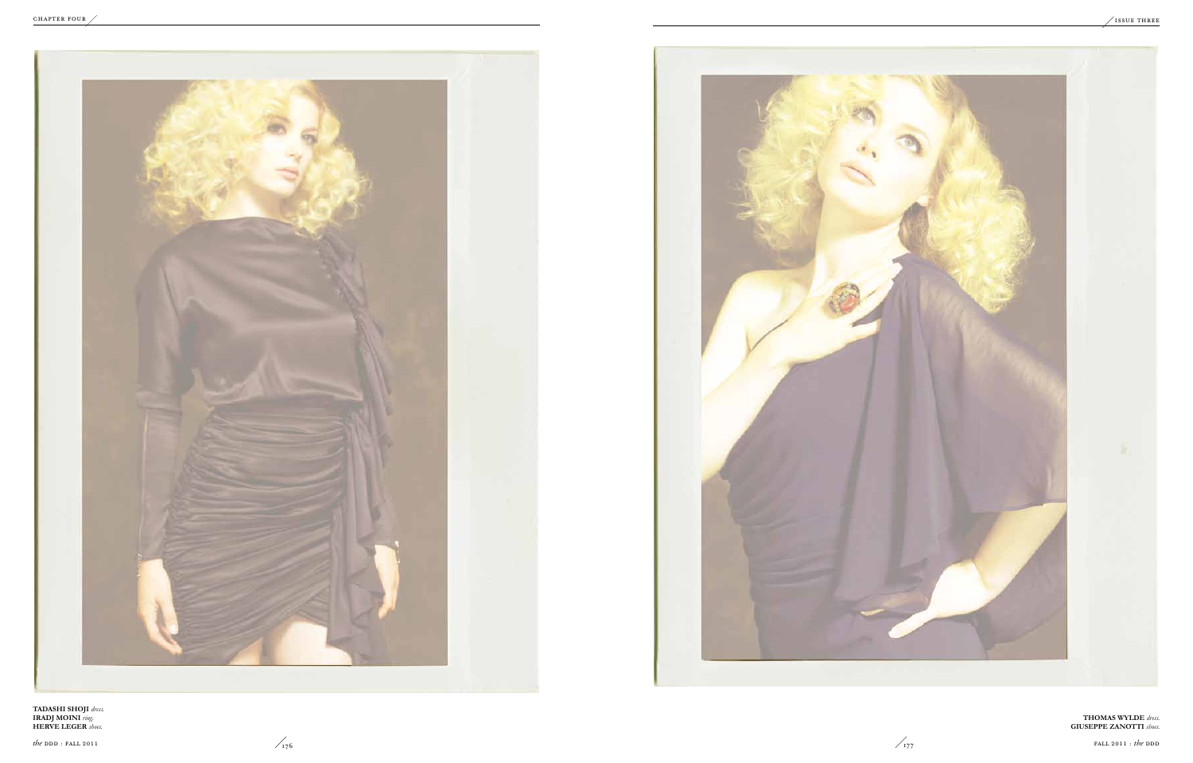![](_page_9_Picture_3.jpeg)

![](_page_9_Picture_1.jpeg)

**Tadashi Shoji** *dress.* **Iradj Moini** *ring.* **Herve Leger** *shoes.* 

**Thomas Wylde** *dress.* **Giuseppe Zanotti** *shoes.*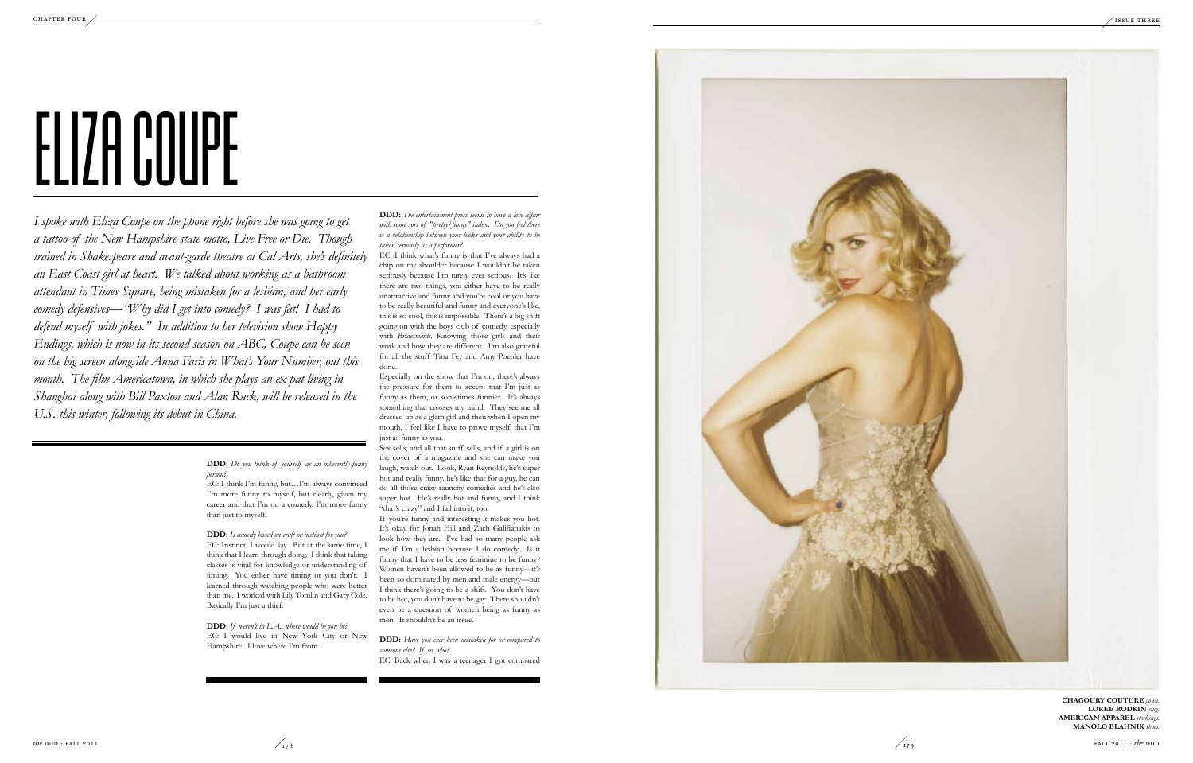**DDD:** *Do you think of yourself as an inherently funny person?*

EC: I think I'm funny, but…I'm always convinced I'm more funny to myself, but clearly, given my career and that I'm on a comedy, I'm more funny than just to myself.

**DDD:** *Is comedy based on craft or instinct for you?* EC: Instinct, I would say. But at the same time, I think that I learn through doing. I think that taking classes is vital for knowledge or understanding of timing. You either have timing or you don't. I learned through watching people who were better than me. I worked with Lily Tomlin and Gary Cole. Basically I'm just a thief.

**DDD:** *If weren't in L.A., where would be you be?* EC: I would live in New York City or New Hampshire. I love where I'm from.

*I spoke with Eliza Coupe on the phone right before she was going to get a tattoo of the New Hampshire state motto, Live Free or Die. Though trained in Shakespeare and avant-garde theatre at Cal Arts, she's definitely an East Coast girl at heart. We talked about working as a bathroom attendant in Times Square, being mistaken for a lesbian, and her early comedy defensives—"Why did I get into comedy? I was fat! I had to defend myself with jokes." In addition to her television show Happy Endings, which is now in its second season on ABC, Coupe can be seen on the big screen alongside Anna Faris in What's Your Number, out this month. The film Americatown, in which she plays an ex-pat living in Shanghai along with Bill Paxton and Alan Ruck, will be released in the U.S. this winter, following its debut in China.* 

**DDD:** *The entertainment press seems to have a love affair with some sort of "pretty/funny" index. Do you feel there is a relationship between your looks and your ability to be taken seriously as a performer?*

EC: I think what's funny is that I've always had a chip on my shoulder because I wouldn't be taken seriously because I'm rarely ever serious. It's like there are two things, you either have to be really unattractive and funny and you're cool or you have to be really beautiful and funny and everyone's like, this is so cool, this is impossible! There's a big shift going on with the boys club of comedy, especially with *Bridesmaids*. Knowing those girls and their work and how they are different. I'm also grateful for all the stuff Tina Fey and Amy Poehler have done.

Especially on the show that I'm on, there's always the pressure for them to accept that I'm just as funny as them, or sometimes funnier. It's always something that crosses my mind. They see me all dressed up as a glam girl and then when I open my mouth, I feel like I have to prove myself, that I'm just as funny as you.

Sex sells, and all that stuff sells, and if a girl is on the cover of a magazine and she can make you laugh, watch out. Look, Ryan Reynolds, he's super hot and really funny, he's like that for a guy, he can do all those crazy raunchy comedies and he's also super hot. He's really hot and funny, and I think "that's crazy" and I fall into it, too.

If you're funny and interesting it makes you hot. It's okay for Jonah Hill and Zach Galifianakis to look how they are. I've had so many people ask me if I'm a lesbian because I do comedy. Is it funny that I have to be less feminine to be funny? Women haven't been allowed to be as funny—it's been so dominated by men and male energy—but I think there's going to be a shift. You don't have to be hot, you don't have to be gay. There shouldn't even be a question of women being as funny as men. It shouldn't be an issue.

**DDD:** *Have you ever been mistaken for or compared to someone else? If so, who?* EC: Back when I was a teenager I got compared

![](_page_10_Picture_13.jpeg)

![](_page_10_Picture_15.jpeg)

**Cha goury Couture** *gown.* LOREE RODKIN *ring.* **Ameri can Appare l** *stockings.* **Mano lo B lahnik** *shoes.* 

![](_page_10_Picture_19.jpeg)

### ELIZA COUPE ON the phone right h  $\frac{1}{2}$  $\frac{1}{\sqrt{2}}$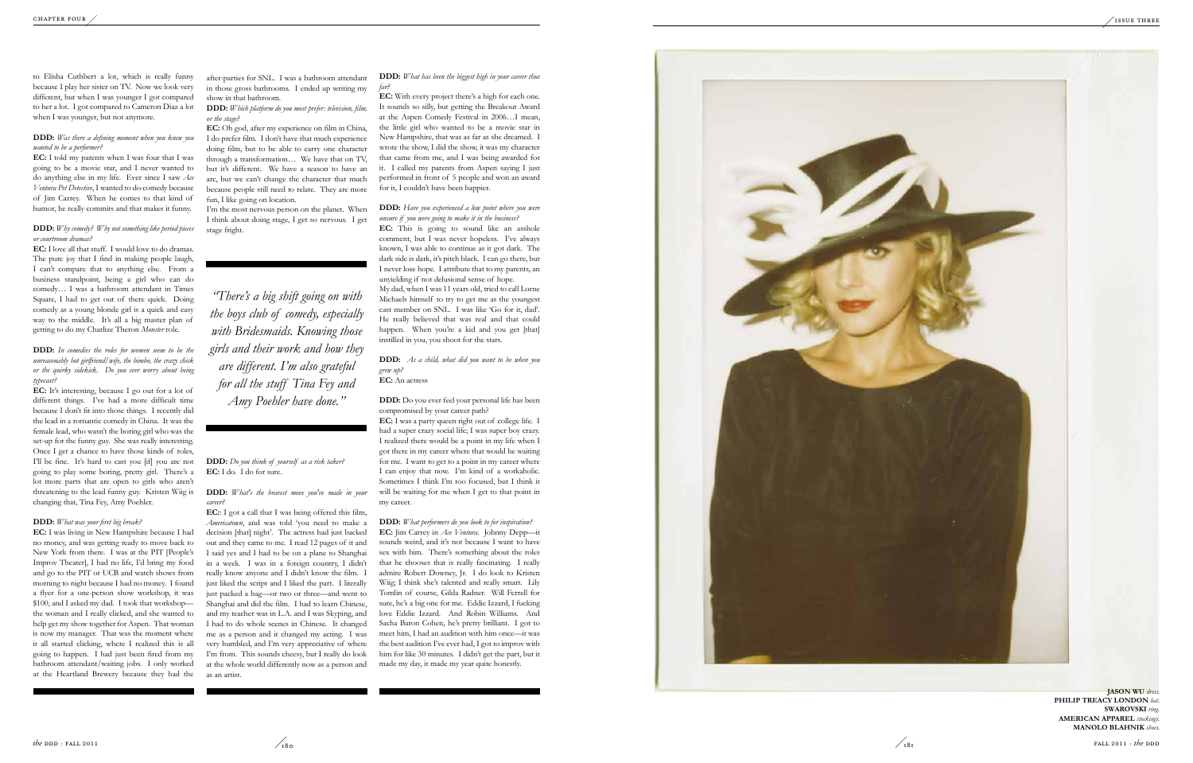to Elisha Cuthbert a lot, which is really funny because I play her sister on TV. Now we look very different, but when I was younger I got compared to her a lot. I got compared to Cameron Diaz a lot when I was younger, but not anymore.

### **DDD:** *Was there a defining moment when you knew you wanted to be a performer?*

**EC:** I told my parents when I was four that I was going to be a movie star, and I never wanted to do anything else in my life. Ever since I saw *Ace Ventura Pet Detective*, I wanted to do comedy because of Jim Carrey. When he comes to that kind of humor, he really commits and that makes it funny.

### **DDD:** *Why comedy? Why not something like period pieces or courtroom dramas?*

**EC:** I love all that stuff. I would love to do dramas. The pure joy that I find in making people laugh, I can't compare that to anything else. From a business standpoint, being a girl who can do comedy… I was a bathroom attendant in Times Square, I had to get out of there quick. Doing comedy as a young blonde girl is a quick and easy way to the middle. It's all a big master plan of getting to do my Charlize Theron *Monster* role.

**DDD:** *In comedies the roles for women seem to be the unreasonably hot girlfriend/wife, the bimbo, the crazy chick or the quirky sidekick. Do you ever worry about being typecast?*

**EC:** Oh god, after my experience on film in China, I do prefer film. I don't have that much experience doing film, but to be able to carry one character through a transformation… We have that on TV, but it's different. We have a season to have an arc, but we can't change the character that much because people still need to relate. They are more fun, I like going on location.

**EC:** It's interesting, because I go out for a lot of different things. I've had a more difficult time because I don't fit into those things. I recently did the lead in a romantic comedy in China. It was the female lead, who wasn't the boring girl who was the set-up for the funny guy. She was really interesting. Once I get a chance to have those kinds of roles, I'll be fine. It's hard to cast you [if] you are not going to play some boring, pretty girl. There's a lot more parts that are open to girls who aren't threatening to the lead funny guy. Kristen Wiig is changing that, Tina Fey, Amy Poehler.

### **DDD:** *What was your first big break?*

**EC:** I was living in New Hampshire because I had no money, and was getting ready to move back to New York from there. I was at the PIT [People's Improv Theater], I had no life, I'd bring my food and go to the PIT or UCB and watch shows from morning to night because I had no money. I found a flyer for a one-person show workshop, it was \$100, and I asked my dad. I took that workshop the woman and I really clicked, and she wanted to help get my show together for Aspen. That woman is now my manager. That was the moment where it all started clicking, where I realized this is all going to happen. I had just been fired from my bathroom attendant/waiting jobs. I only worked at the Heartland Brewery because they had the

after-parties for SNL. I was a bathroom attendant in those gross bathrooms. I ended up writing my show in that bathroom.

> **EC:** This is going to sound like an asshole comment, but I was never hopeless. I've always known, I was able to continue as it got dark. The dark side is dark, it's pitch black. I can go there, but I never lose hope. I attribute that to my parents, an unyielding if not delusional sense of hope. My dad, when I was 11 years old, tried to call Lorne Michaels himself to try to get me as the youngest cast member on SNL. I was like 'Go for it, dad'. He really believed that was real and that could happen. When you're a kid and you get [that] instilled in you, you shoot for the stars.

**DDD:** *Which platform do you most prefer: television, film, or the stage?*

I'm the most nervous person on the planet. When I think about doing stage, I get so nervous. I get stage fright.

### **DDD:** *Do you think of yourself as a risk taker?* **EC:** I do. I do for sure.

**DDD:** *What's the bravest move you've made in your career?*

> **PHILIP TREACY LONDON** hat. **Swarovski** *ring.* **Ameri can Appare l** *stockings.* **Mano lo B lahnik** *shoes.*

**EC:**: I got a call that I was being offered this film, *Americatown*, and was told 'you need to make a decision [that] night'. The actress had just backed out and they came to me. I read 12 pages of it and I said yes and I had to be on a plane to Shanghai in a week. I was in a foreign country, I didn't really know anyone and I didn't know the film. I just liked the script and I liked the part. I literally just packed a bag—or two or three—and went to Shanghai and did the film. I had to learn Chinese, and my teacher was in L.A. and I was Skyping, and I had to do whole scenes in Chinese. It changed me as a person and it changed my acting. I was very humbled, and I'm very appreciative of where I'm from. This sounds cheesy, but I really do look at the whole world differently now as a person and as an artist.

**DDD:** *What has been the biggest high in your career thus far?*

**EC:** With every project there's a high for each one. It sounds so silly, but getting the Breakout Award at the Aspen Comedy Festival in 2006…I mean, the little girl who wanted to be a movie star in New Hampshire, that was as far as she dreamed. I wrote the show, I did the show, it was my character that came from me, and I was being awarded for it. I called my parents from Aspen saying I just performed in front of 5 people and won an award for it, I couldn't have been happier.

**DDD:** *Have you experienced a low point where you were unsure if you were going to make it in the business?*

**DDD:** *As a child, what did you want to be when you grew up?* **EC:** An actress

**DDD:** Do you ever feel your personal life has been compromised by your career path?

**EC:** I was a party queen right out of college life. I had a super crazy social life; I was super boy crazy. I realized there would be a point in my life when I got there in my career where that would be waiting for me. I want to get to a point in my career where I can enjoy that now. I'm kind of a workaholic. Sometimes I think I'm too focused, but I think it will be waiting for me when I get to that point in my career.

**DDD:** *What performers do you look to for inspiration?* **EC:** Jim Carrey in *Ace Ventura*. Johnny Depp—it sounds weird, and it's not because I want to have sex with him. There's something about the roles that he chooses that is really fascinating. I really admire Robert Downey, Jr. I do look to Kristen Wiig; I think she's talented and really smart. Lily Tomlin of course, Gilda Radner. Will Ferrell for sure, he's a big one for me. Eddie Izzard, I fucking love Eddie Izzard. And Robin Williams. And Sacha Baron Cohen, he's pretty brilliant. I got to meet him, I had an audition with him once—it was the best audition I've ever had, I got to improv with him for like 30 minutes. I didn't get the part, but it made my day, it made my year quite honestly.

*"There's a big shift going on with the boys club of comedy, especially with Bridesmaids. Knowing those girls and their work and how they are different. I'm also grateful for all the stuff Tina Fey and Amy Poehler have done."*

![](_page_11_Picture_26.jpeg)

![](_page_11_Picture_28.jpeg)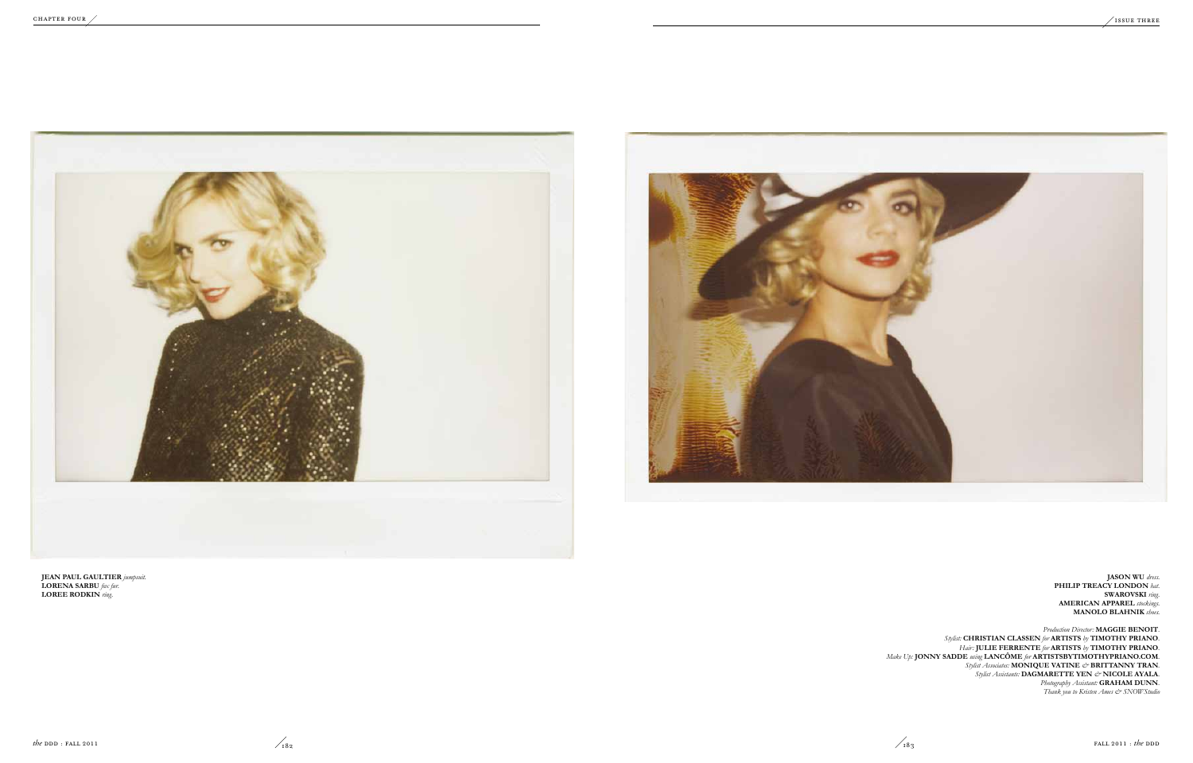**Jason Wu** *dress.* **Philip Treacy London** *hat.* **Swarovski** *ring.* **American Apparel** *stockings.* **Manolo Blahnik** *shoes.* 

*Production Director:* **Maggie Benoit***. Stylist:* **Christian Classen** *for* **Artists** *by* **Timothy Priano***. Hair:* **Julie Ferrente** *for* **Artists** *by* **Timothy Priano***. Make Up:* **Jonny Sadde** *using* **Lancôme** *for* **ArtistsbyTimothyPriano.com***. Stylist Associates:* **MONIQUE VATINE** *&* **BRITTANNY TRAN***. Stylist Assistants:* **DAGMARETTE YEN** *&* **NICOLE AYALA***. Photography Assistant:* **Graham Dunn***. Thank you to Kristen Ames & SNOWStudio* 

![](_page_12_Picture_1.jpeg)

![](_page_12_Picture_2.jpeg)

**Jean Paul Gaultier** *jumpsuit.* **Lorena Sarbu** *fox fur.* **Loree Rodkin** *ring.*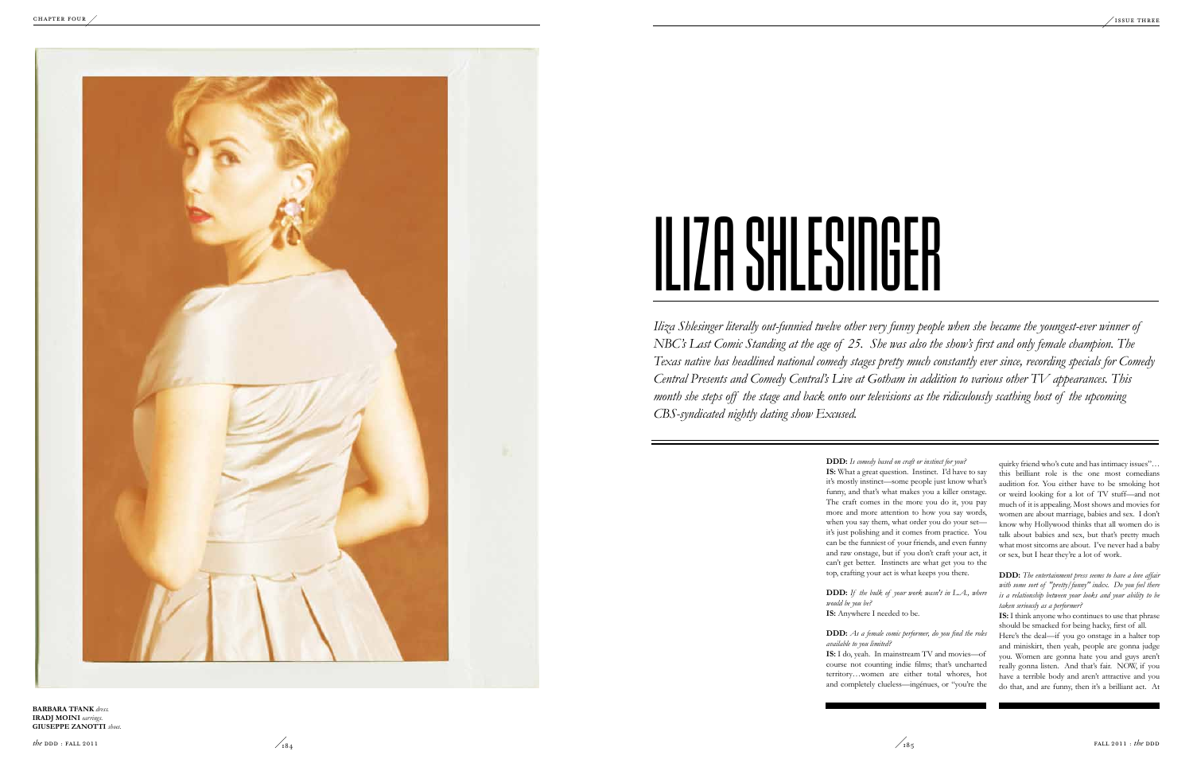**DDD:** *Is comedy based on craft or instinct for you?*

**IS:** What a great question. Instinct. I'd have to say it's mostly instinct—some people just know what's funny, and that's what makes you a killer onstage. The craft comes in the more you do it, you pay more and more attention to how you say words, when you say them, what order you do your set it's just polishing and it comes from practice. You can be the funniest of your friends, and even funny and raw onstage, but if you don't craft your act, it can't get better. Instincts are what get you to the top, crafting your act is what keeps you there.

**DDD:** *If the bulk of your work wasn't in L.A., where would be you be?*

**IS:** Anywhere I needed to be.

**DDD:** *As a female comic performer, do you find the roles available to you limited?*

**IS:** I do, yeah. In mainstream TV and movies—of course not counting indie films; that's uncharted territory…women are either total whores, hot and completely clueless—ingénues, or "you're the

*Iliza Shlesinger literally out-funnied twelve other very funny people when she became the youngest-ever winner of NBC's Last Comic Standing at the age of 25. She was also the show's first and only female champion. The Texas native has headlined national comedy stages pretty much constantly ever since, recording specials for Comedy Central Presents and Comedy Central's Live at Gotham in addition to various other TV appearances. This month she steps off the stage and back onto our televisions as the ridiculously scathing host of the upcoming CBS-syndicated nightly dating show Excused.* 

**Barbara Tfank** *dress.* **Iradj Moini** *earrings.* **GIUSEPPE ZANOTTI** *shoes.* 

![](_page_13_Picture_6.jpeg)

quirky friend who's cute and has intimacy issues"… this brilliant role is the one most comedians audition for. You either have to be smoking hot or weird looking for a lot of TV stuff—and not much of it is appealing. Most shows and movies for women are about marriage, babies and sex. I don't know why Hollywood thinks that all women do is talk about babies and sex, but that's pretty much what most sitcoms are about. I've never had a baby or sex, but I hear they're a lot of work.

**DDD:** *The entertainment press seems to have a love affair with some sort of "pretty/funny" index. Do you feel there is a relationship between your looks and your ability to be taken seriously as a performer?*

**IS:** I think anyone who continues to use that phrase should be smacked for being hacky, first of all.

Here's the deal—if you go onstage in a halter top and miniskirt, then yeah, people are gonna judge you. Women are gonna hate you and guys aren't really gonna listen. And that's fair. NOW, if you have a terrible body and aren't attractive and you do that, and are funny, then it's a brilliant act. At

![](_page_13_Picture_1.jpeg)

## ILIZA SHLESINGER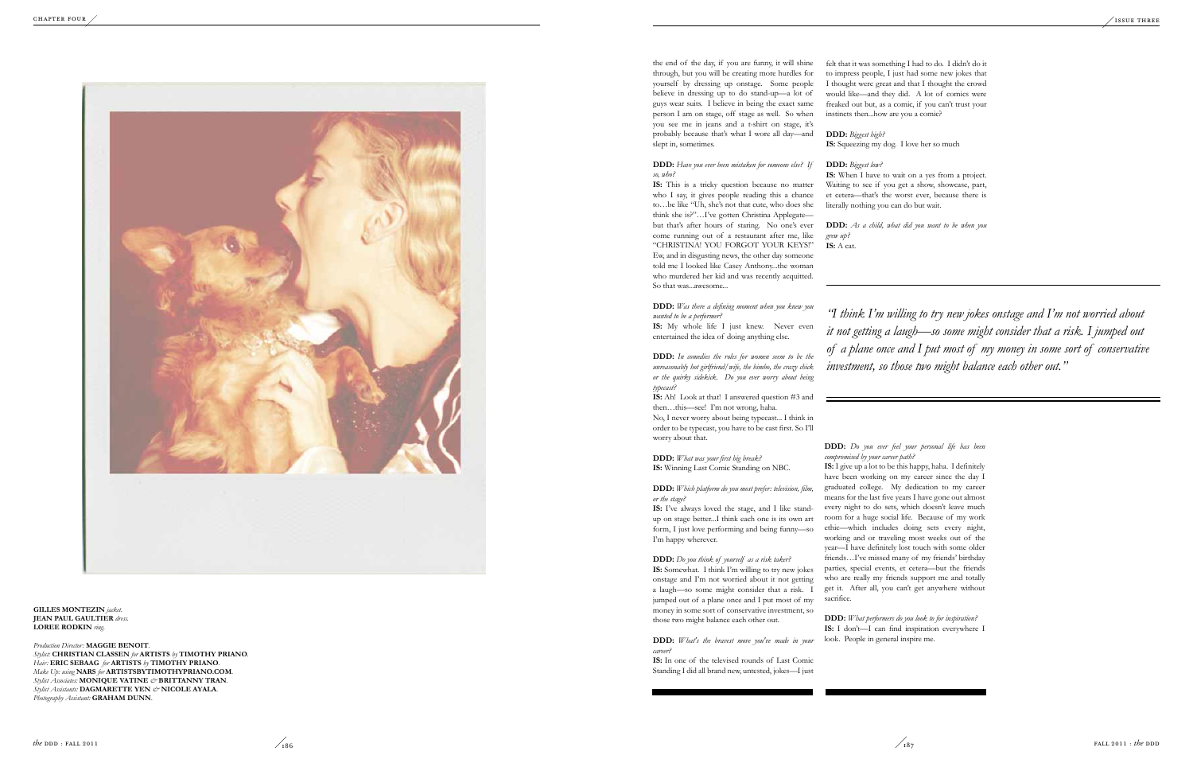the end of the day, if you are funny, it will shine through, but you will be creating more hurdles for yourself by dressing up onstage. Some people believe in dressing up to do stand-up—a lot of guys wear suits. I believe in being the exact same person I am on stage, off stage as well. So when you see me in jeans and a t-shirt on stage, it's probably because that's what I wore all day—and slept in, sometimes.

**DDD:** *Have you ever been mistaken for someone else? If so, who?*

**IS:** My whole life I just knew. Never even entertained the idea of doing anything else.

**IS :** This is a tricky question because no matter who I say, it gives people reading this a chance to…be like " Uh, she's not that cute, who does she think she is?"…I've gotten Christina Applegate but that's after hours of staring. No one's ever come running out of a restaurant after me, like "CHRISTI NA! YO U FORGOT YO UR KEYS!" Ew, and in disgusting news, the other day someone told me I looked like Casey Anthony...the woman who murdered her kid and was recently acquitted. So that was...awesome...

**DDD:** *Was there a defining moment when you knew you wanted to be a performer?*

**DDD:** *In comedies the roles for women seem to be the unreasonably hot girlfriend/wife, the bimbo, the crazy chick or the quirky sidekick. Do you ever worry about being typecast?*

**DDD:** *Biggest high?* **IS:** Squeezing my dog. I love her so much

**IS :** Ah! Look at that! I answered question #3 and then…this—see! I'm not wrong, haha.

No, I never worry about being typecast... I think in order to be typecast, you have to be cast first. So I'll worry about that.

> **IS :** I give up a lot to be this happy, haha. I definitely have been working on my career since the day I graduated college. My dedication to my career means for the last five years I have gone out almost every night to do sets, which doesn't leave much room for a huge social life. Because of my work ethic—which includes doing sets every night, working and or traveling most weeks out of the year—I have definitely lost touch with some older friends…I've missed many of my friends' birthday parties, special events, et cetera—but the friends who are really my friends support me and totally get it. After all, you can't get anywhere without sacrifice.

**DDD:** *What was your first big break?* **IS :** Winning Last Comic Standing on NBC.

**DDD:** *Which platform do you most prefer: television, film, or the stage?*

**IS :** I've always loved the stage, and I like standup on stage better...I think each one is its own art form, I just love performing and being funny—so I'm happy wherever.

**DDD:** *Do you think of yourself as a risk taker?* **IS :** Somewhat. I think I'm willing to try new jokes onstage and I'm not worried about it not getting a laugh—so some might consider that a risk. I jumped out of a plane once and I put most of my money in some sort of conservative investment, so those two might balance each other out.

**Gilles Monte zin** *jacket.* **JEAN PAUL GAULTIER** dress. LOREE RODKIN ring.

Production Director: MAGGIE BENOIT. Stylist: CHRISTIAN CLASSEN for ARTISTS by TIMOTHY PRIANO. Hair: ERIC SEBAAG for ARTISTS by TIMOTHY PRIANO. **c** *Make Up: using* **NARS** for **ARTISTSBYTIMOTHYPRIANO.COM**. **b** Stylist Associates: MONIQUE VATINE & BRITTANNY TRAN. Stylist Assistants: DAGMARETTE YEN  $\mathcal{O}$ **NICOLE AYALA**. Photography Assistant: **GRAHAM DUNN**.

**DDD:** *What's the bravest move you've made in your career?*

**IS :** In one of the televised rounds of Last Comic Standing I did all brand new, untested, jokes—I just

felt that it was something I had to do. I didn't do it to impress people, I just had some new jokes that I thought were great and that I thought the crowd would like—and they did. A lot of comics were freaked out but, as a comic, if you can't trust your instincts then...how are you a comic?

### **DDD:** *Biggest low?*

**IS :** When I have to wait on a yes from a project. Waiting to see if you get a show, showcase, part, et cetera—that's the worst ever, because there is literally nothing you can do but wait.

**DDD:** *As a child, what did you want to be when you grew up?* **IS :** A cat.

### **DDD:** *Do you ever feel your personal life has been compromised by your career path?*

**DDD:** *What performers do you look to for inspiration?* **IS :** I don't—I can find inspiration everywhere I look. People in general inspire me.

*"I think I'm willing to try new jokes onstage and I'm not worried about it not getting a laugh—so some might consider that a risk. I jumped out of a plane once and I put most of my money in some sort of conservative investment, so those two might balance each other out."*

![](_page_14_Picture_1.jpeg)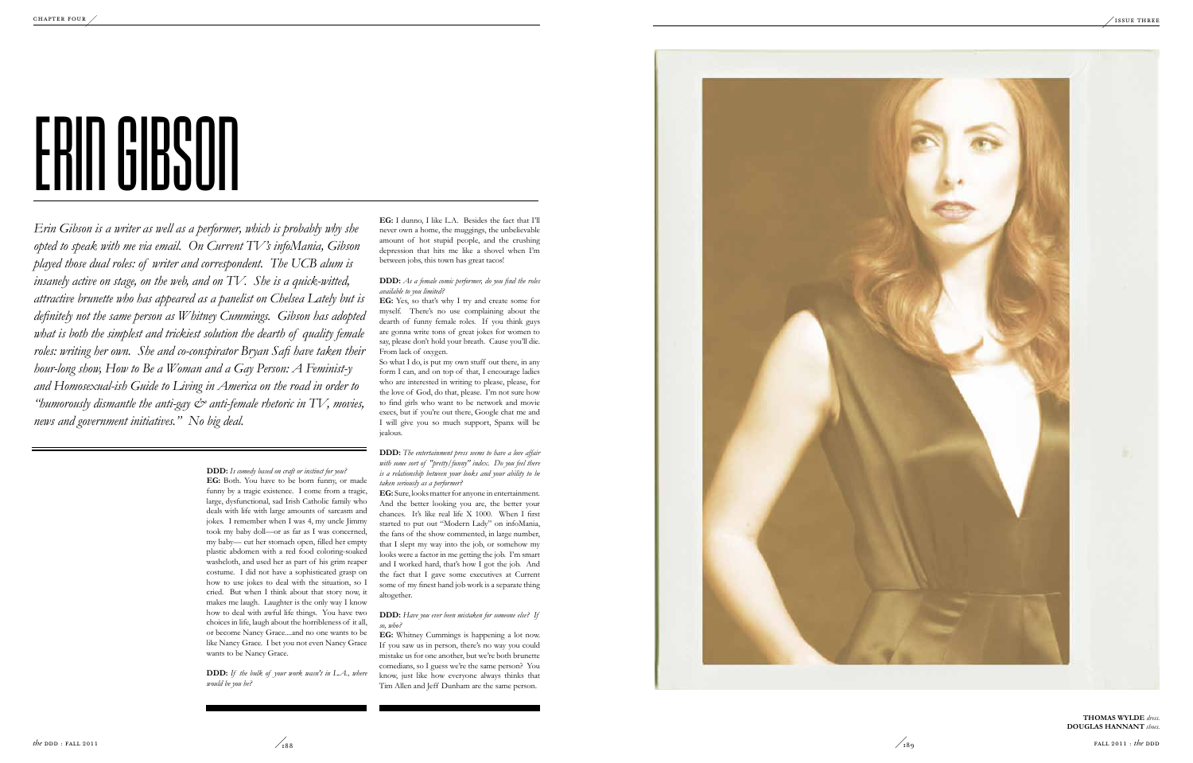![](_page_15_Picture_13.jpeg)

![](_page_15_Picture_15.jpeg)

**DDD:** *Is comedy based on craft or instinct for you?* **EG:** Both. You have to be born funny, or made funny by a tragic existence. I come from a tragic, large, dysfunctional, sad Irish Catholic family who deals with life with large amounts of sarcasm and jokes. I remember when I was 4, my uncle Jimmy took my baby doll—or as far as I was concerned, my baby— cut her stomach open, filled her empty plastic abdomen with a red food coloring-soaked washcloth, and used her as part of his grim reaper costume. I did not have a sophisticated grasp on how to use jokes to deal with the situation, so I cried. But when I think about that story now, it makes me laugh. Laughter is the only way I know how to deal with awful life things. You have two choices in life, laugh about the horribleness of it all, or become Nancy Grace....and no one wants to be like Nancy Grace. I bet you not even Nancy Grace wants to be Nancy Grace.

**DDD:** *If the bulk of your work wasn't in L.A., where would be you be?*

*Erin Gibson is a writer as well as a performer, which is probably why she opted to speak with me via email. On Current TV's infoMania, Gibson played those dual roles: of writer and correspondent. The UCB alum is insanely active on stage, on the web, and on TV. She is a quick-witted, attractive brunette who has appeared as a panelist on Chelsea Lately but is definitely not the same person as Whitney Cummings. Gibson has adopted*  what is both the simplest and trickiest solution the dearth of quality female *roles: writing her own. She and co-conspirator Bryan Safi have taken their hour-long show, How to Be a Woman and a Gay Person: A Feminist-y and Homosexual-ish Guide to Living in America on the road in order to*  "*humorously dismantle the anti-gay*  $\mathcal{Q}$  *anti-female rhetoric in TV, movies, news and government initiatives." No big deal.*

**EG:** I dunno, I like L.A. Besides the fact that I'll never own a home, the muggings, the unbelievable amount of hot stupid people, and the crushing depression that hits me like a shovel when I'm between jobs, this town has great tacos!

**DDD:** *As a female comic performer, do you find the roles available to you limited?*

**EG:** Yes, so that's why I try and create some for myself. There's no use complaining about the dearth of funny female roles. If you think guys are gonna write tons of great jokes for women to say, please don't hold your breath. Cause you'll die. From lack of oxygen.

So what I do, is put my own stuff out there, in any form I can, and on top of that, I encourage ladies who are interested in writing to please, please, for the love of God, do that, please. I'm not sure how to find girls who want to be network and movie execs, but if you're out there, Google chat me and I will give you so much support, Spanx will be jealous.

**DDD:** *The entertainment press seems to have a love affair with some sort of "pretty/funny" index. Do you feel there is a relationship between your looks and your ability to be taken seriously as a performer?*

**EG:** Sure, looks matter for anyone in entertainment. And the better looking you are, the better your chances. It's like real life X 1000. When I first started to put out "Modern Lady" on infoMania, the fans of the show commented, in large number, that I slept my way into the job, or somehow my looks were a factor in me getting the job. I'm smart and I worked hard, that's how I got the job. And the fact that I gave some executives at Current some of my finest hand job work is a separate thing altogether.

### **DDD:** *Have you ever been mistaken for someone else? If so, who?*

**EG:** Whitney Cummings is happening a lot now. If you saw us in person, there's no way you could mistake us for one another, but we're both brunette comedians, so I guess we're the same person? You know, just like how everyone always thinks that Tim Allen and Jeff Dunham are the same person.

> **Thomas Wyld e** *dress.* **Douglas Hannant** *shoes.*